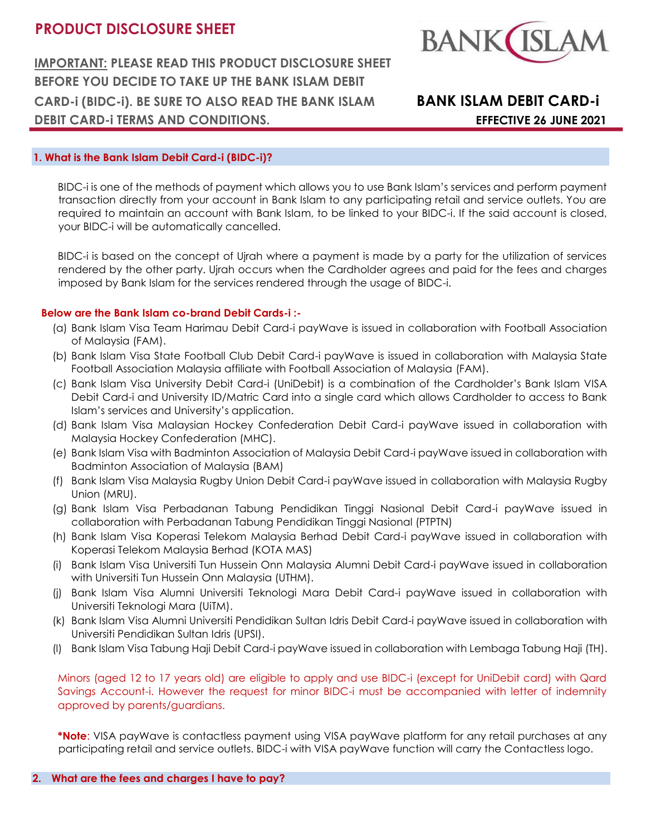**IMPORTANT: PLEASE READ THIS PRODUCT DISCLOSURE SHEET BEFORE YOU DECIDE TO TAKE UP THE BANK ISLAM DEBIT CARD-i (BIDC-i). BE SURE TO ALSO READ THE BANK ISLAM BANK ISLAM DEBIT CARD-i DEBIT CARD-i TERMS AND CONDITIONS. EFFECTIVE 26 JUNE 2021**



## **1. What is the Bank Islam Debit Card-i (BIDC-i)?**

BIDC-i is one of the methods of payment which allows you to use Bank Islam's services and perform payment transaction directly from your account in Bank Islam to any participating retail and service outlets. You are required to maintain an account with Bank Islam, to be linked to your BIDC-i. If the said account is closed, your BIDC-i will be automatically cancelled.

BIDC-i is based on the concept of Ujrah where a payment is made by a party for the utilization of services rendered by the other party. Ujrah occurs when the Cardholder agrees and paid for the fees and charges imposed by Bank Islam for the services rendered through the usage of BIDC-i.

## **Below are the Bank Islam co-brand Debit Cards-i :-**

- (a) Bank Islam Visa Team Harimau Debit Card-i payWave is issued in collaboration with Football Association of Malaysia (FAM).
- (b) Bank Islam Visa State Football Club Debit Card-i payWave is issued in collaboration with Malaysia State Football Association Malaysia affiliate with Football Association of Malaysia (FAM).
- (c) Bank Islam Visa University Debit Card-i (UniDebit) is a combination of the Cardholder's Bank Islam VISA Debit Card-i and University ID/Matric Card into a single card which allows Cardholder to access to Bank Islam's services and University's application.
- (d) Bank Islam Visa Malaysian Hockey Confederation Debit Card-i payWave issued in collaboration with Malaysia Hockey Confederation (MHC).
- (e) Bank Islam Visa with Badminton Association of Malaysia Debit Card-i payWave issued in collaboration with Badminton Association of Malaysia (BAM)
- (f) Bank Islam Visa Malaysia Rugby Union Debit Card-i payWave issued in collaboration with Malaysia Rugby Union (MRU).
- (g) Bank Islam Visa Perbadanan Tabung Pendidikan Tinggi Nasional Debit Card-i payWave issued in collaboration with Perbadanan Tabung Pendidikan Tinggi Nasional (PTPTN)
- (h) Bank Islam Visa Koperasi Telekom Malaysia Berhad Debit Card-i payWave issued in collaboration with Koperasi Telekom Malaysia Berhad (KOTA MAS)
- (i) Bank Islam Visa Universiti Tun Hussein Onn Malaysia Alumni Debit Card-i payWave issued in collaboration with Universiti Tun Hussein Onn Malaysia (UTHM).
- (j) Bank Islam Visa Alumni Universiti Teknologi Mara Debit Card-i payWave issued in collaboration with Universiti Teknologi Mara (UiTM).
- (k) Bank Islam Visa Alumni Universiti Pendidikan Sultan Idris Debit Card-i payWave issued in collaboration with Universiti Pendidikan Sultan Idris (UPSI).
- (l) Bank Islam Visa Tabung Haji Debit Card-i payWave issued in collaboration with Lembaga Tabung Haji (TH).

Minors (aged 12 to 17 years old) are eligible to apply and use BIDC-i (except for UniDebit card) with Qard Savings Account-i. However the request for minor BIDC-i must be accompanied with letter of indemnity approved by parents/guardians.

**\*Note**: VISA payWave is contactless payment using VISA payWave platform for any retail purchases at any participating retail and service outlets. BIDC-i with VISA payWave function will carry the Contactless logo.

## **2. What are the fees and charges I have to pay?**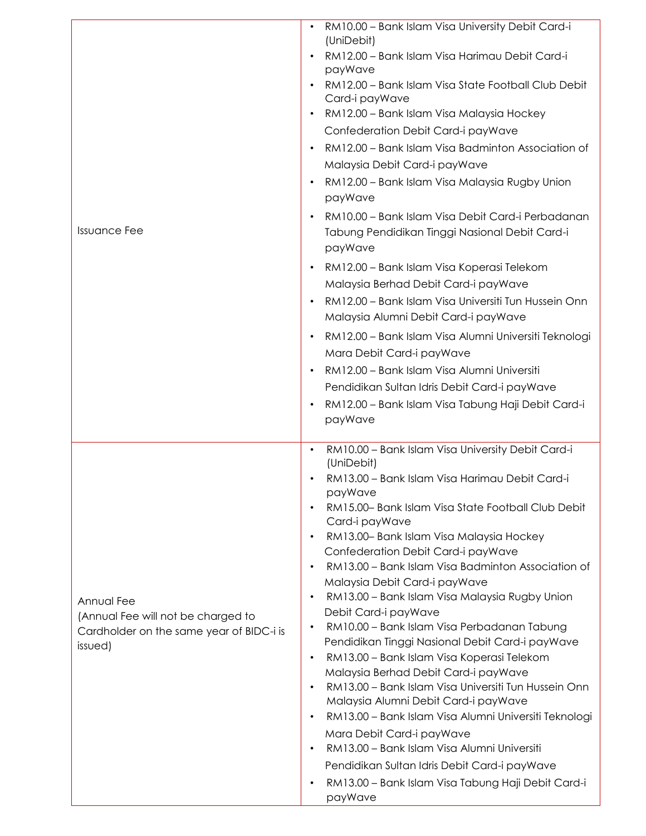| <b>Issuance Fee</b>                                                                                     | RM10.00 - Bank Islam Visa University Debit Card-i<br>(UniDebit)<br>RM12.00 - Bank Islam Visa Harimau Debit Card-i<br>$\bullet$<br>payWave<br>RM12.00 - Bank Islam Visa State Football Club Debit<br>Card-i payWave<br>RM12.00 - Bank Islam Visa Malaysia Hockey<br>$\bullet$<br>Confederation Debit Card-i payWave<br>RM12.00 - Bank Islam Visa Badminton Association of<br>$\bullet$<br>Malaysia Debit Card-i payWave<br>RM12.00 - Bank Islam Visa Malaysia Rugby Union<br>$\bullet$<br>payWave<br>RM10.00 - Bank Islam Visa Debit Card-i Perbadanan<br>$\bullet$<br>Tabung Pendidikan Tinggi Nasional Debit Card-i<br>payWave<br>RM12.00 - Bank Islam Visa Koperasi Telekom<br>$\bullet$<br>Malaysia Berhad Debit Card-i payWave<br>RM12.00 - Bank Islam Visa Universiti Tun Hussein Onn<br>$\bullet$<br>Malaysia Alumni Debit Card-i payWave<br>RM12.00 - Bank Islam Visa Alumni Universiti Teknologi<br>$\bullet$<br>Mara Debit Card-i payWave<br>RM12.00 - Bank Islam Visa Alumni Universiti<br>$\bullet$<br>Pendidikan Sultan Idris Debit Card-i payWave<br>RM12.00 - Bank Islam Visa Tabung Haji Debit Card-i<br>$\bullet$<br>payWave              |
|---------------------------------------------------------------------------------------------------------|-----------------------------------------------------------------------------------------------------------------------------------------------------------------------------------------------------------------------------------------------------------------------------------------------------------------------------------------------------------------------------------------------------------------------------------------------------------------------------------------------------------------------------------------------------------------------------------------------------------------------------------------------------------------------------------------------------------------------------------------------------------------------------------------------------------------------------------------------------------------------------------------------------------------------------------------------------------------------------------------------------------------------------------------------------------------------------------------------------------------------------------------------------------|
| Annual Fee<br>(Annual Fee will not be charged to<br>Cardholder on the same year of BIDC-i is<br>issued) | RM10.00 - Bank Islam Visa University Debit Card-i<br>$\bullet$<br>(UniDebit)<br>RM13.00 - Bank Islam Visa Harimau Debit Card-i<br>$\bullet$<br>payWave<br>RM15.00- Bank Islam Visa State Football Club Debit<br>$\bullet$<br>Card-i payWave<br>RM13.00- Bank Islam Visa Malaysia Hockey<br>$\bullet$<br>Confederation Debit Card-i payWave<br>RM13.00 - Bank Islam Visa Badminton Association of<br>$\bullet$<br>Malaysia Debit Card-i payWave<br>RM13.00 - Bank Islam Visa Malaysia Rugby Union<br>$\bullet$<br>Debit Card-i payWave<br>RM10.00 - Bank Islam Visa Perbadanan Tabung<br>$\bullet$<br>Pendidikan Tinggi Nasional Debit Card-i payWave<br>RM13.00 - Bank Islam Visa Koperasi Telekom<br>$\bullet$<br>Malaysia Berhad Debit Card-i payWave<br>RM13.00 - Bank Islam Visa Universiti Tun Hussein Onn<br>$\bullet$<br>Malaysia Alumni Debit Card-i payWave<br>RM13.00 - Bank Islam Visa Alumni Universiti Teknologi<br>$\bullet$<br>Mara Debit Card-i payWave<br>RM13.00 - Bank Islam Visa Alumni Universiti<br>$\bullet$<br>Pendidikan Sultan Idris Debit Card-i payWave<br>RM13.00 - Bank Islam Visa Tabung Haji Debit Card-i<br>٠<br>payWave |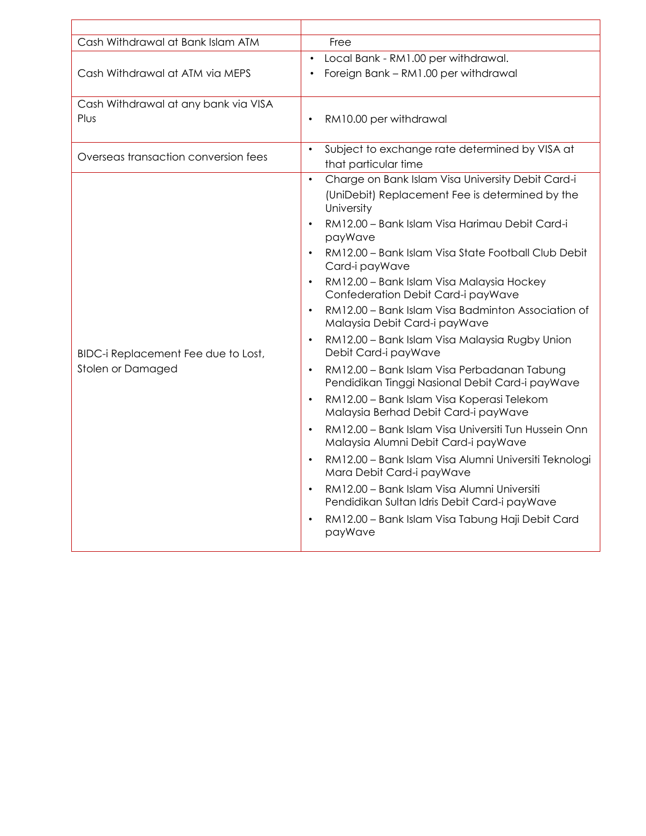| Cash Withdrawal at Bank Islam ATM                        | Free                                                                                            |
|----------------------------------------------------------|-------------------------------------------------------------------------------------------------|
|                                                          | Local Bank - RM1.00 per withdrawal.                                                             |
| Cash Withdrawal at ATM via MEPS                          | Foreign Bank - RM1.00 per withdrawal                                                            |
| Cash Withdrawal at any bank via VISA                     |                                                                                                 |
| Plus                                                     | RM10.00 per withdrawal                                                                          |
| Overseas transaction conversion fees                     | Subject to exchange rate determined by VISA at                                                  |
|                                                          | that particular time                                                                            |
| BIDC-i Replacement Fee due to Lost,<br>Stolen or Damaged | Charge on Bank Islam Visa University Debit Card-i<br>$\bullet$                                  |
|                                                          | (UniDebit) Replacement Fee is determined by the<br>University                                   |
|                                                          | RM12.00 - Bank Islam Visa Harimau Debit Card-i<br>$\bullet$<br>payWave                          |
|                                                          | RM12.00 - Bank Islam Visa State Football Club Debit<br>Card-i payWave                           |
|                                                          | RM12.00 - Bank Islam Visa Malaysia Hockey<br>Confederation Debit Card-i payWave                 |
|                                                          | RM12.00 - Bank Islam Visa Badminton Association of<br>Malaysia Debit Card-i payWave             |
|                                                          | RM12.00 - Bank Islam Visa Malaysia Rugby Union<br>Debit Card-i payWave                          |
|                                                          | RM12.00 - Bank Islam Visa Perbadanan Tabung<br>Pendidikan Tinggi Nasional Debit Card-i payWave  |
|                                                          | RM12.00 - Bank Islam Visa Koperasi Telekom<br>$\bullet$<br>Malaysia Berhad Debit Card-i payWave |
|                                                          | RM12.00 - Bank Islam Visa Universiti Tun Hussein Onn<br>Malaysia Alumni Debit Card-i payWave    |
|                                                          | RM12.00 - Bank Islam Visa Alumni Universiti Teknologi<br>Mara Debit Card-i payWave              |
|                                                          | RM12.00 - Bank Islam Visa Alumni Universiti<br>Pendidikan Sultan Idris Debit Card-i payWave     |
|                                                          | RM12.00 - Bank Islam Visa Tabung Haji Debit Card<br>payWave                                     |
|                                                          |                                                                                                 |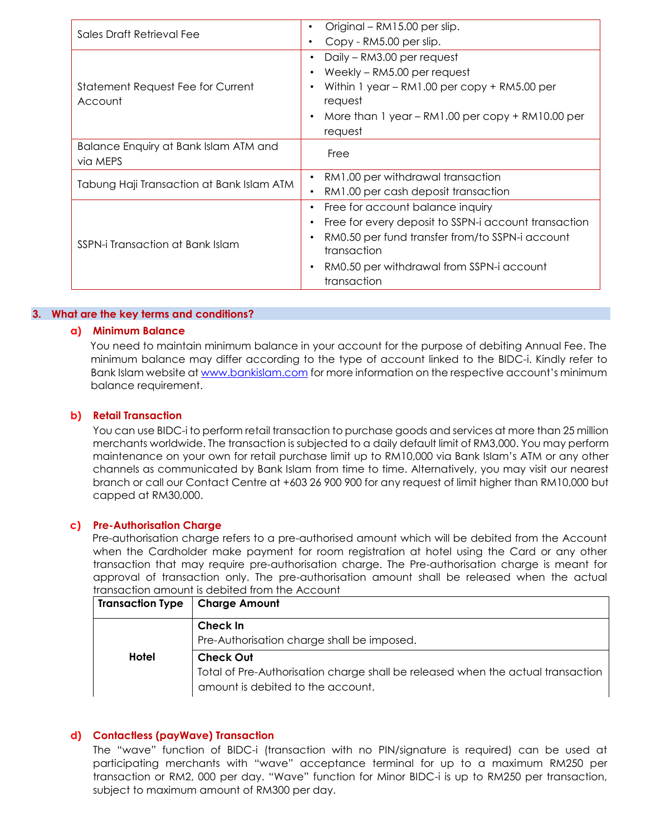| Sales Draft Retrieval Fee                    | Original - RM15.00 per slip.<br>٠                    |
|----------------------------------------------|------------------------------------------------------|
|                                              | Copy - RM5.00 per slip.<br>٠                         |
| Statement Request Fee for Current<br>Account | Daily - RM3.00 per request                           |
|                                              | Weekly - RM5.00 per request                          |
|                                              | Within 1 year - RM1.00 per copy + RM5.00 per         |
|                                              | request                                              |
|                                              | More than 1 year $-$ RM1.00 per copy $+$ RM10.00 per |
|                                              | request                                              |
| Balance Enquiry at Bank Islam ATM and        | Free                                                 |
| via MEPS                                     |                                                      |
| Tabung Haji Transaction at Bank Islam ATM    | RM1.00 per withdrawal transaction                    |
|                                              | RM1.00 per cash deposit transaction                  |
| SSPN-i Transaction at Bank Islam             | Free for account balance inquiry                     |
|                                              | Free for every deposit to SSPN-i account transaction |
|                                              | RM0.50 per fund transfer from/to SSPN-i account      |
|                                              | transaction                                          |
|                                              | RM0.50 per withdrawal from SSPN-i account            |
|                                              | transaction                                          |

## **3. What are the key terms and conditions?**

#### **a) Minimum Balance**

You need to maintain minimum balance in your account for the purpose of debiting Annual Fee. The minimum balance may differ according to the type of account linked to the BIDC-i. Kindly refer to Bank Islam website at www.bankislam.com [f](http://www.bankislam.com.my/)or more information on the respective account's minimum balance requirement.

## **b) Retail Transaction**

You can use BIDC-i to perform retail transaction to purchase goods and services at more than 25 million merchants worldwide. The transaction is subjected to a daily default limit of RM3,000. You may perform maintenance on your own for retail purchase limit up to RM10,000 via Bank Islam's ATM or any other channels as communicated by Bank Islam from time to time. Alternatively, you may visit our nearest branch or call our Contact Centre at +603 26 900 900 for any request of limit higher than RM10,000 but capped at RM30,000.

#### **c) Pre-Authorisation Charge**

Pre-authorisation charge refers to a pre-authorised amount which will be debited from the Account when the Cardholder make payment for room registration at hotel using the Card or any other transaction that may require pre-authorisation charge. The Pre-authorisation charge is meant for approval of transaction only. The pre-authorisation amount shall be released when the actual transaction amount is debited from the Account

| Transaction Type   Charge Amount |                                                                                 |
|----------------------------------|---------------------------------------------------------------------------------|
|                                  | Check In                                                                        |
|                                  | Pre-Authorisation charge shall be imposed.                                      |
| Hotel                            | <b>Check Out</b>                                                                |
|                                  | Total of Pre-Authorisation charge shall be released when the actual transaction |
|                                  | amount is debited to the account.                                               |

## **d) Contactless (payWave) Transaction**

The "wave" function of BIDC-i (transaction with no PIN/signature is required) can be used at participating merchants with "wave" acceptance terminal for up to a maximum RM250 per transaction or RM2, 000 per day. "Wave" function for Minor BIDC-i is up to RM250 per transaction, subject to maximum amount of RM300 per day.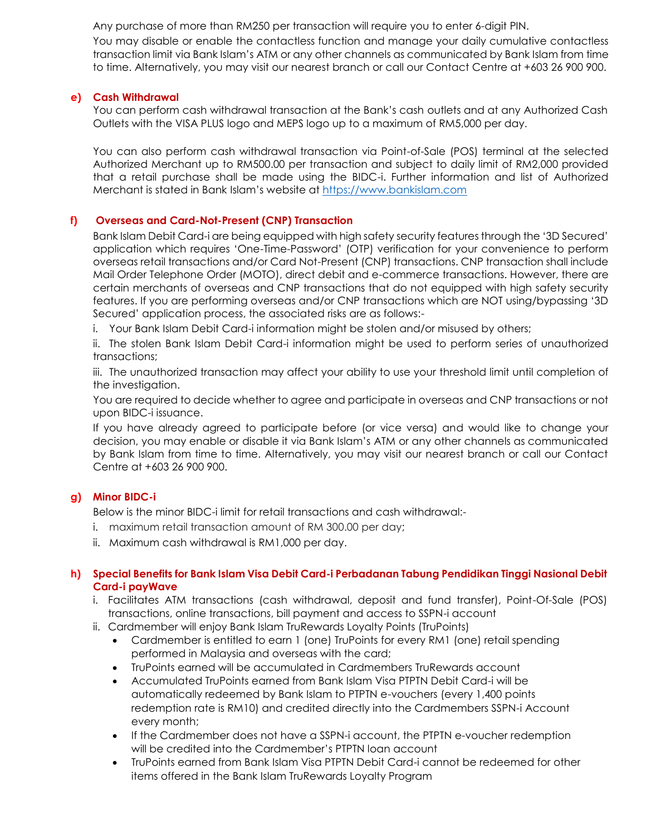Any purchase of more than RM250 per transaction will require you to enter 6-digit PIN.

You may disable or enable the contactless function and manage your daily cumulative contactless transaction limit via Bank Islam's ATM or any other channels as communicated by Bank Islam from time to time. Alternatively, you may visit our nearest branch or call our Contact Centre at +603 26 900 900.

# **e) Cash Withdrawal**

You can perform cash withdrawal transaction at the Bank's cash outlets and at any Authorized Cash Outlets with the VISA PLUS logo and MEPS logo up to a maximum of RM5,000 per day.

You can also perform cash withdrawal transaction via Point-of-Sale (POS) terminal at the selected Authorized Merchant up to RM500.00 per transaction and subject to daily limit of RM2,000 provided that a retail purchase shall be made using the BIDC-i. Further information and list of Authorized Merchant is stated in Bank Islam's website at [https://www.bankislam.com](https://www.bankislam.com/)

# **f) Overseas and Card-Not-Present (CNP) Transaction**

Bank Islam Debit Card-i are being equipped with high safety security features through the '3D Secured' application which requires 'One-Time-Password' (OTP) verification for your convenience to perform overseas retail transactions and/or Card Not-Present (CNP) transactions. CNP transaction shall include Mail Order Telephone Order (MOTO), direct debit and e-commerce transactions. However, there are certain merchants of overseas and CNP transactions that do not equipped with high safety security features. If you are performing overseas and/or CNP transactions which are NOT using/bypassing '3D Secured' application process, the associated risks are as follows:-

i. Your Bank Islam Debit Card-i information might be stolen and/or misused by others;

ii. The stolen Bank Islam Debit Card-i information might be used to perform series of unauthorized transactions;

iii. The unauthorized transaction may affect your ability to use your threshold limit until completion of the investigation.

You are required to decide whether to agree and participate in overseas and CNP transactions or not upon BIDC-i issuance.

If you have already agreed to participate before (or vice versa) and would like to change your decision, you may enable or disable it via Bank Islam's ATM or any other channels as communicated by Bank Islam from time to time. Alternatively, you may visit our nearest branch or call our Contact Centre at +603 26 900 900.

# **g) Minor BIDC-i**

Below is the minor BIDC-i limit for retail transactions and cash withdrawal:-

- i. maximum retail transaction amount of RM 300.00 per day;
- ii. Maximum cash withdrawal is RM1,000 per day.

# **h) Special Benefits for Bank Islam Visa Debit Card-i Perbadanan Tabung Pendidikan Tinggi Nasional Debit Card-i payWave**

- i. Facilitates ATM transactions (cash withdrawal, deposit and fund transfer), Point-Of-Sale (POS) transactions, online transactions, bill payment and access to SSPN-i account
- ii. Cardmember will enjoy Bank Islam TruRewards Loyalty Points (TruPoints)
	- Cardmember is entitled to earn 1 (one) TruPoints for every RM1 (one) retail spending performed in Malaysia and overseas with the card;
	- TruPoints earned will be accumulated in Cardmembers TruRewards account
	- Accumulated TruPoints earned from Bank Islam Visa PTPTN Debit Card-i will be automatically redeemed by Bank Islam to PTPTN e-vouchers (every 1,400 points redemption rate is RM10) and credited directly into the Cardmembers SSPN-i Account every month;
	- If the Cardmember does not have a SSPN-i account, the PTPTN e-voucher redemption will be credited into the Cardmember's PTPTN loan account
	- TruPoints earned from Bank Islam Visa PTPTN Debit Card-i cannot be redeemed for other items offered in the Bank Islam TruRewards Loyalty Program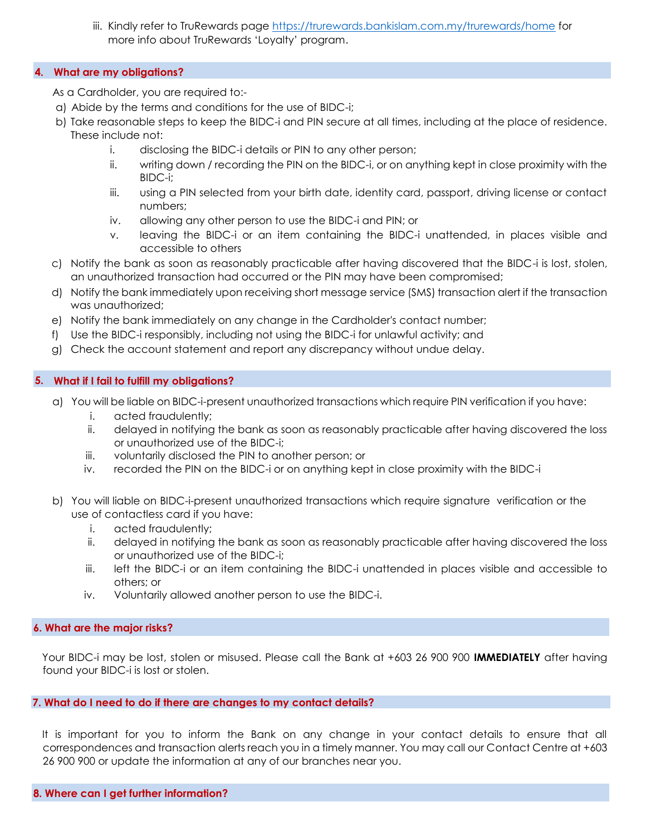iii. Kindly refer to TruRewards page <https://trurewards.bankislam.com.my/trurewards/home> for more info about TruRewards 'Loyalty' program.

## **4. What are my obligations?**

As a Cardholder, you are required to:-

- a) Abide by the terms and conditions for the use of BIDC-i;
- b) Take reasonable steps to keep the BIDC-i and PIN secure at all times, including at the place of residence. These include not:
	- i. disclosing the BIDC-i details or PIN to any other person;
	- ii. writing down / recording the PIN on the BIDC-i, or on anything kept in close proximity with the BIDC-i;
	- iii. using a PIN selected from your birth date, identity card, passport, driving license or contact numbers;
	- iv. allowing any other person to use the BIDC-i and PIN; or
	- v. leaving the BIDC-i or an item containing the BIDC-i unattended, in places visible and accessible to others
- c) Notify the bank as soon as reasonably practicable after having discovered that the BIDC-i is lost, stolen, an unauthorized transaction had occurred or the PIN may have been compromised;
- d) Notify the bank immediately upon receiving short message service (SMS) transaction alert if the transaction was unauthorized;
- e) Notify the bank immediately on any change in the Cardholder's contact number;
- f) Use the BIDC-i responsibly, including not using the BIDC-i for unlawful activity; and
- g) Check the account statement and report any discrepancy without undue delay.

## **5. What if I fail to fulfill my obligations?**

- a) You will be liable on BIDC-i-present unauthorized transactions which require PIN verification if you have:
	- i. acted fraudulently;
	- ii. delayed in notifying the bank as soon as reasonably practicable after having discovered the loss or unauthorized use of the BIDC-i;
	- iii. voluntarily disclosed the PIN to another person; or
	- iv. recorded the PIN on the BIDC-i or on anything kept in close proximity with the BIDC-i
- b) You will liable on BIDC-i-present unauthorized transactions which require signature verification or the use of contactless card if you have:
	- i. acted fraudulently;
	- ii. delayed in notifying the bank as soon as reasonably practicable after having discovered the loss or unauthorized use of the BIDC-i;
	- iii. left the BIDC-i or an item containing the BIDC-i unattended in places visible and accessible to others; or
	- iv. Voluntarily allowed another person to use the BIDC-i.

## **6. What are the major risks?**

Your BIDC-i may be lost, stolen or misused. Please call the Bank at +603 26 900 900 **IMMEDIATELY** after having found your BIDC-i is lost or stolen.

#### **7. What do I need to do if there are changes to my contact details?**

It is important for you to inform the Bank on any change in your contact details to ensure that all correspondences and transaction alerts reach you in a timely manner. You may call our Contact Centre at +603 26 900 900 or update the information at any of our branches near you.